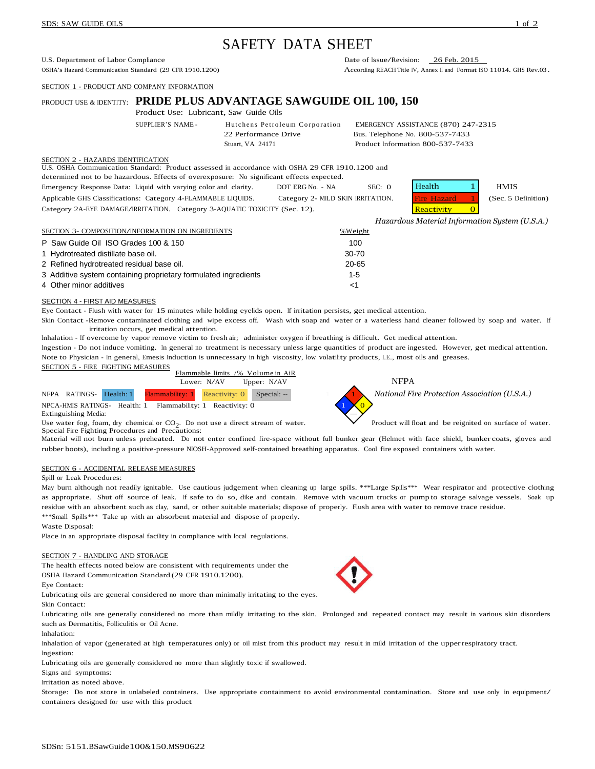# SAFETY DATA SHEET

U.S. Department of Labor Compliance<br>
OSHA's Hazard Communication Standard (29 CFR 1910.1200) Date of Issue/Revision: 26 Feb. 2015<br>
According REACH Title IV. Annex II and Format I

SECTION 1 - PRODUCT AND COMPANY INFORMATION

# PRODUCT USE & IDENTITY: **PRIDE PLUS ADVANTAGE SAWGUIDE OIL 100, 150**

Product Use: Lubricant, Saw Guide Oils

SUPPLIER'S NAME - Hutchens Petroleum Corporation EMERGENCY ASSISTANCE (870) 247-2315 22 Performance Drive Bus. Telephone No. 800-537-7433 Stuart, VA 24171 Product Information 800-537-7433

#### SECTION 2 - HAZARDS IDENTIFICATION

U.S. OSHA Communication Standard: Product assessed in accordance with OSHA 29 CFR 1910.1200 and

determined not to be hazardous. Effects of overexposure: No significant effects expected.

Emergency Response Data: Liquid with varying color and clarity. DOT ERG No. - NA SEC: 0  $\text{He}$ Applicable GHS Classifications: Category 4-FLAMMABLE LIQUIDS. Category 2- MILD SKIN IRRITATION. Fire Hazard 1 (Sec. 5 Definition) Category 2A-EYE DAMAGE/IRRITATION. Category 3-AQUATIC TOXIC ITY (Sec. 12).

| alth     | <b>HMIS</b>       |  |
|----------|-------------------|--|
| : Hazard | (Sec. 5 Definitio |  |
| activity |                   |  |

*Hazardous Material Information System (U.S.A.)*

| SECTION 3- COMPOSITION/INFORMATION ON INGREDIENTS               | %Weight   |
|-----------------------------------------------------------------|-----------|
| P Saw Guide Oil ISO Grades 100 & 150                            | 100       |
| 1 Hydrotreated distillate base oil.                             | 30-70     |
| 2 Refined hydrotreated residual base oil.                       | $20 - 65$ |
| 3 Additive system containing proprietary formulated ingredients | $1-5$     |
| 4 Other minor additives                                         |           |

#### SECTION 4 - FIRST AID MEASURES

Eye Contact - Flush with water for 15 minutes while holding eyelids open. If irritation persists, get medical attention.

Skin Contact -Remove contaminated clothing and wipe excess off. Wash with soap and water or a waterless hand cleaner followed by soap and water. If irritation occurs, get medical attention.

Inhalation - If overcome by vapor remove victim to fresh air; administer oxygen if breathing is difficult. Get medical attention.

Ingestion - Do not induce vomiting. In general no treatment is necessary unless large quantities of product are ingested. However, get medical attention. Note to Physician - In general, Emesis Induction is unnecessary in high viscosity, low volatility products, I.E., most oils and greases. SECTION 5 - FIRE FIGHTING MEASURES

|  | SECTION 3 - FINE TRITITING MILASURES |  | Flammable limits /% Volume in AiR                  |             |             |
|--|--------------------------------------|--|----------------------------------------------------|-------------|-------------|
|  |                                      |  | Lower: N/AV                                        | Upper: N/AV | <b>NFPA</b> |
|  | NFPA RATINGS- Health: 1              |  | <b>Flammability:</b> 1 Reactivity: $0$ Special: -- |             | National Fi |

NPCA-HMIS RATINGS- Health: 1 Flammability: 1 Reactivity:  $\overline{0}$  1 0 Extinguishing Media: —

Use water fog, foam, dry chemical or  $CO<sub>2</sub>$ . Do not use a direct stream of water. Special Fire Fighting Procedures and Precautions:



National Fire Protection Association (U.S.A.)

Product will float and be reignited on surface of water.

Material will not burn unless preheated. Do not enter confined fire-space without full bunker gear (Helmet with face shield, bunker coats, gloves and rubber boots), including <sup>a</sup> positive-pressure NIOSH-Approved self-contained breathing apparatus. Cool fire exposed containers with water.

## SECTION 6 - ACCIDENTAL RELEASE MEASURES

#### Spill or Leak Procedures:

May burn although not readily ignitable. Use cautious judgement when cleaning up large spills. \*\*\*Large Spills\*\*\* Wear respirator and protective clothing as appropriate. Shut off source of leak. If safe to do so, dike and contain. Remove with vacuum trucks or pump to storage salvage vessels. Soak up residue with an absorbent such as clay, sand, or other suitable materials; dispose of properly. Flush area with water to remove trace residue. \*\*\*Small Spills\*\*\* Take up with an absorbent material and dispose of properly.

#### Waste Disposal:

Place in an appropriate disposal facility in compliance with local regulations.

#### SECTION 7 - HANDLING AND STORAGE

The health effects noted below are consistent with requirements under the OSHA Hazard Communication Standard (29 CFR 1910.1200).

Eye Contact:

Lubricating oils are general considered no more than minimally irritating to the eyes. Skin Contact:

Lubricating oils are generally considered no more than mildly irritating to the skin. Prolonged and repeated contact may result in various skin disorders such as Dermatitis, Folliculitis or Oil Acne.

Inhalation:

Inhalation of vapor (generated at high temperatures only) or oil mist from this product may result in mild irritation of the upperrespiratory tract.

Ingestion:

Lubricating oils are generally considered no more than slightly toxic if swallowed.

Signs and symptoms:

Irritation as noted above.

Storage: Do not store in unlabeled containers. Use appropriate containment to avoid environmental contamination. Store and use only in equipment/ containers designed for use with this product



According REACH Title IV, Annex II and Format ISO 11014, GHS Rev.03.